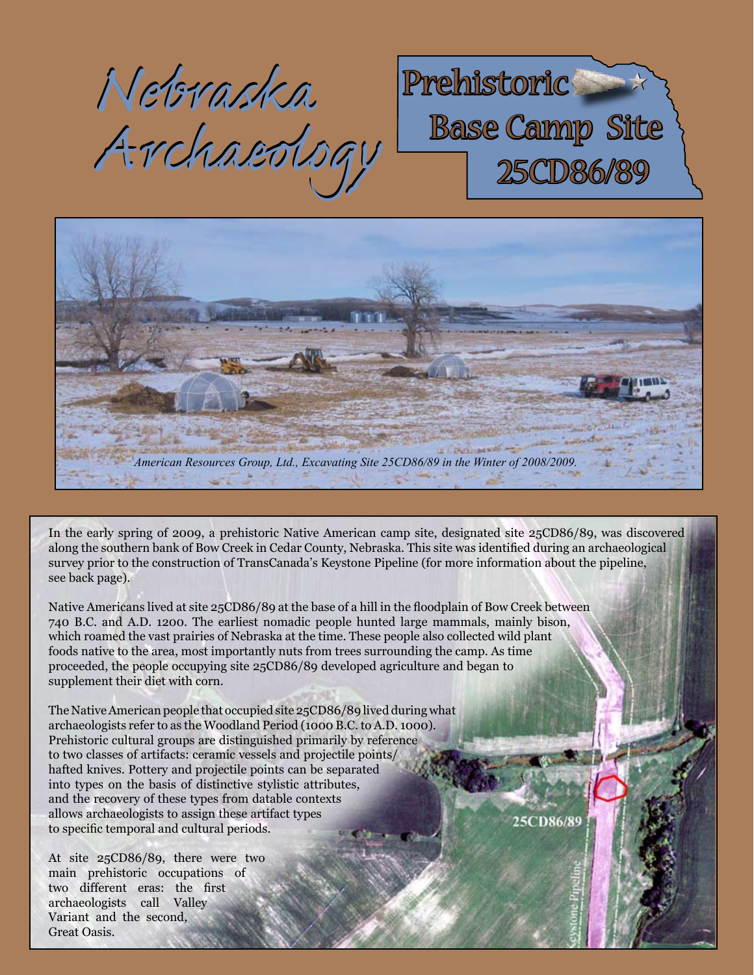*Nebraska Nebraska Archaeology Archaeology*





In the early spring of 2009, a prehistoric Native American camp site, designated site 25CD86/89, was discovered along the southern bank of Bow Creek in Cedar County, Nebraska. This site was identified during an archaeological survey prior to the construction of TransCanada's Keystone Pipeline (for more information about the pipeline, see back page).

Native Americans lived at site 25CD86/89 at the base of a hill in the floodplain of Bow Creek between 740 B.C. and A.D. 1200. The earliest nomadic people hunted large mammals, mainly bison, which roamed the vast prairies of Nebraska at the time. These people also collected wild plant foods native to the area, most importantly nuts from trees surrounding the camp. As time proceeded, the people occupying site 25CD86/89 developed agriculture and began to supplement their diet with corn.

The Native American people that occupied site 25CD86/89 lived during what archaeologists refer to as the Woodland Period (1000 B.C. to A.D. 1000). Prehistoric cultural groups are distinguished primarily by reference to two classes of artifacts: ceramic vessels and projectile points/ hafted knives. Pottery and projectile points can be separated into types on the basis of distinctive stylistic attributes, and the recovery of these types from datable contexts allows archaeologists to assign these artifact types to specific temporal and cultural periods.

At site 25CD86/89, there were two main prehistoric occupations of two different eras: the first archaeologists call Valley Variant and the second, Great Oasis.

25CD86/89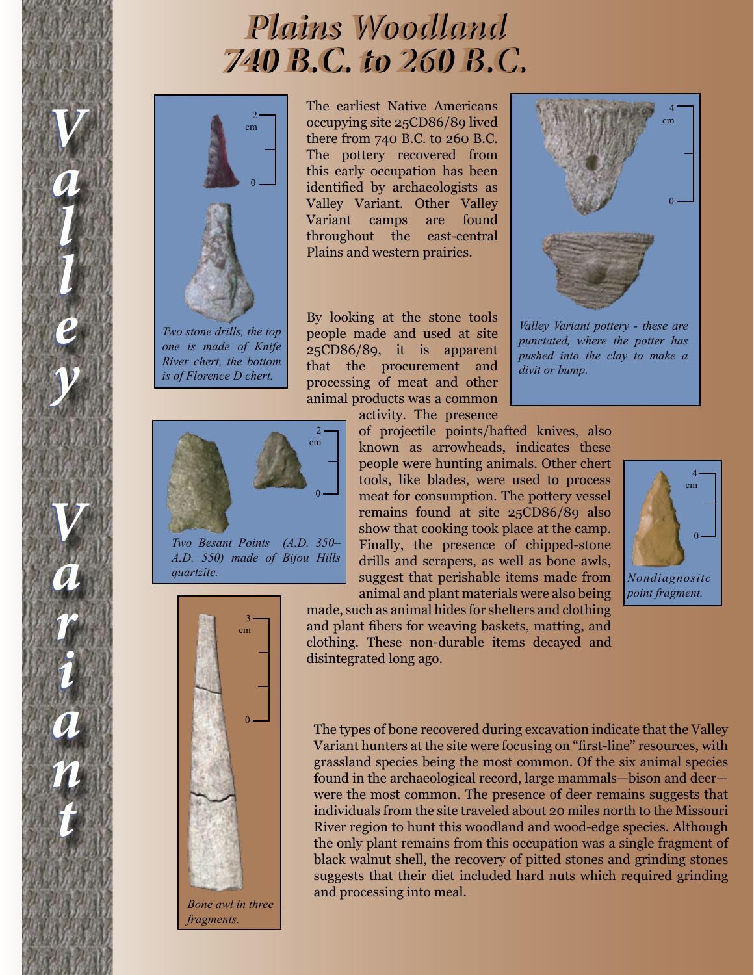## *740 B.C. to 260 B.C. 740 B.C. to 260 B.C. A.D. 870 to A.D. 1200 A.D. 870 to A.D. 1200 Plains Woodland Plains Woodland Plains Village*



*V*

*V*

*a*

*a*

*l*

*l*

*l*

*l*

*e*

*e*

*y*

*y*

*V*

*V*

*a*

*a*

*r*

*r*

*i*

*i*

*a*

*a*

*n*

*n*

*t*

*t*

*Two stone drills, the top one is made of Knife River chert, the bottom is of Florence D chert.*

 $\mathcal{L}$ cm  $\boldsymbol{0}$ 

*Two Besant Points (A.D. 350– A.D. 550) made of Bijou Hills quartzite.*



*fragments.*

The earliest Native Americans occupying site 25CD86/89 lived there from 740 B.C. to 260 B.C. The pottery recovered from this early occupation has been identified by archaeologists as Valley Variant. Other Valley Variant camps are found throughout the east-central Plains and western prairies.

By looking at the stone tools people made and used at site 25CD86/89, it is apparent that the procurement and processing of meat and other animal products was a common activity. The presence

of projectile points/hafted knives, also known as arrowheads, indicates these people were hunting animals. Other chert tools, like blades, were used to process meat for consumption. The pottery vessel remains found at site 25CD86/89 also show that cooking took place at the camp. Finally, the presence of chipped-stone drills and scrapers, as well as bone awls, suggest that perishable items made from animal and plant materials were also being

made, such as animal hides for shelters and clothing and plant fibers for weaving baskets, matting, and clothing. These non-durable items decayed and disintegrated long ago.



*Valley Variant pottery - these are punctated, where the potter has pushed into the clay to make a divit or bump.*



The types of bone recovered during excavation indicate that the Valley Variant hunters at the site were focusing on "first-line" resources, with grassland species being the most common. Of the six animal species found in the archaeological record, large mammals—bison and deer were the most common. The presence of deer remains suggests that individuals from the site traveled about 20 miles north to the Missouri River region to hunt this woodland and wood-edge species. Although the only plant remains from this occupation was a single fragment of black walnut shell, the recovery of pitted stones and grinding stones suggests that their diet included hard nuts which required grinding and processing into meal.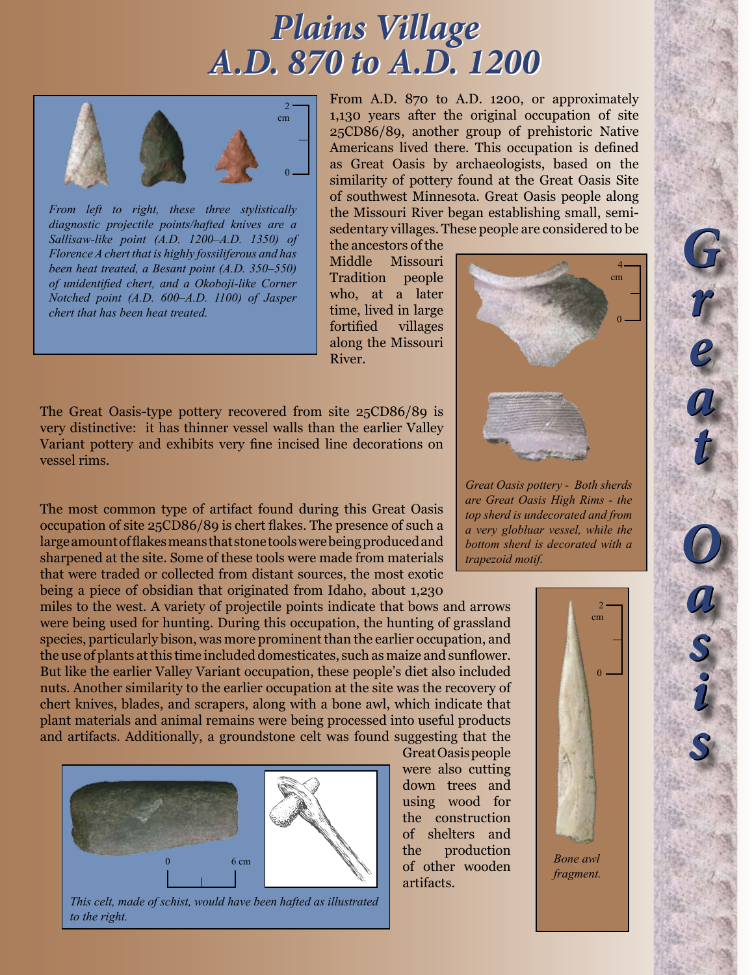## *A.D. 870 to A.D. 1200 A.D. 870 to A.D. 1200 Plains Village Plains Village*



*From left to right, these three stylistically diagnostic projectile points/hafted knives are a Sallisaw-like point (A.D. 1200–A.D. 1350) of Florence A chert that is highly fossiliferous and has been heat treated, a Besant point (A.D. 350–550) of unidentified chert, and a Okoboji-like Corner Notched point (A.D. 600–A.D. 1100) of Jasper chert that has been heat treated.*

From A.D. 870 to A.D. 1200, or approximately 1,130 years after the original occupation of site 25CD86/89, another group of prehistoric Native Americans lived there. This occupation is defined as Great Oasis by archaeologists, based on the similarity of pottery found at the Great Oasis Site of southwest Minnesota. Great Oasis people along the Missouri River began establishing small, semisedentary villages. These people are considered to be

the ancestors of the Middle Missouri Tradition people who, at a later time, lived in large fortified villages along the Missouri River.

The Great Oasis-type pottery recovered from site 25CD86/89 is very distinctive: it has thinner vessel walls than the earlier Valley Variant pottery and exhibits very fine incised line decorations on vessel rims.

The most common type of artifact found during this Great Oasis occupation of site 25CD86/89 is chert flakes. The presence of such a large amount of flakes means that stone tools were being produced and sharpened at the site. Some of these tools were made from materials that were traded or collected from distant sources, the most exotic being a piece of obsidian that originated from Idaho, about 1,230

miles to the west. A variety of projectile points indicate that bows and arrows were being used for hunting. During this occupation, the hunting of grassland species, particularly bison, was more prominent than the earlier occupation, and the use of plants at this time included domesticates, such as maize and sunflower. But like the earlier Valley Variant occupation, these people's diet also included nuts. Another similarity to the earlier occupation at the site was the recovery of chert knives, blades, and scrapers, along with a bone awl, which indicate that plant materials and animal remains were being processed into useful products and artifacts. Additionally, a groundstone celt was found suggesting that the



*This celt, made of schist, would have been hafted as illustrated to the right.*

Great Oasis people were also cutting down trees and using wood for the construction of shelters and the production of other wooden artifacts.



*Great Oasis pottery - Both sherds are Great Oasis High Rims - the top sherd is undecorated and from a very globluar vessel, while the bottom sherd is decorated with a trapezoid motif.*